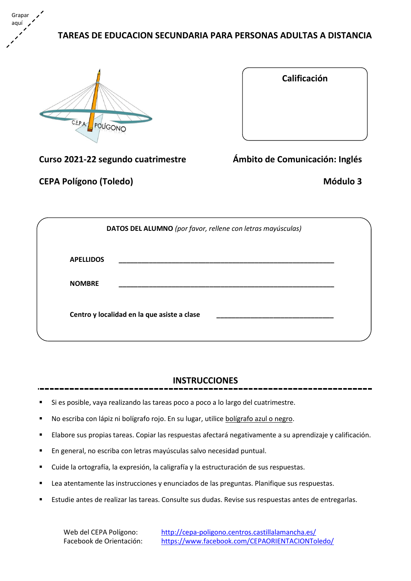# **TAREAS DE EDUCACION SECUNDARIA PARA PERSONAS ADULTAS A DISTANCIA**



Grapar aquí

| Calificación                  |
|-------------------------------|
|                               |
|                               |
|                               |
|                               |
|                               |
| phito de Comunicación: Inglés |

**Curso 2021-22 segundo cuatrimestre** *Ambito d* 

**CEPA Polígono (Toledo) Módulo 3**

|                  | DATOS DEL ALUMNO (por favor, rellene con letras mayúsculas) |
|------------------|-------------------------------------------------------------|
| <b>APELLIDOS</b> |                                                             |
| <b>NOMBRE</b>    |                                                             |
|                  | Centro y localidad en la que asiste a clase                 |

# **INSTRUCCIONES**

- Si es posible, vaya realizando las tareas poco a poco a lo largo del cuatrimestre.
- No escriba con lápiz ni bolígrafo rojo. En su lugar, utilice bolígrafo azul o negro.
- Elabore sus propias tareas. Copiar las respuestas afectará negativamente a su aprendizaje y calificación.
- En general, no escriba con letras mayúsculas salvo necesidad puntual.
- Cuide la ortografía, la expresión, la caligrafía y la estructuración de sus respuestas.
- Lea atentamente las instrucciones y enunciados de las preguntas. Planifique sus respuestas.
- Estudie antes de realizar las tareas. Consulte sus dudas. Revise sus respuestas antes de entregarlas.

Web del CEPA Polígono: <http://cepa-poligono.centros.castillalamancha.es/> Facebook de Orientación: <https://www.facebook.com/CEPAORIENTACIONToledo/>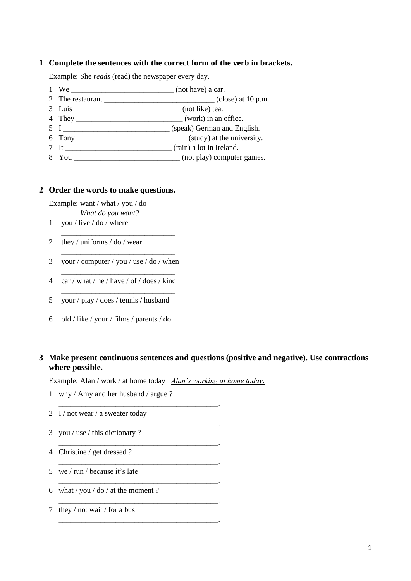### **1 Complete the sentences with the correct form of the verb in brackets.**

Example: She *reads* (read) the newspaper every day.

- 1 We \_\_\_\_\_\_\_\_\_\_\_\_\_\_\_\_\_\_\_\_\_\_\_\_\_\_\_ (not have) a car.
- 2 The restaurant \_\_\_\_\_\_\_\_\_\_\_\_\_\_\_\_\_\_\_\_\_\_\_\_\_\_\_\_\_ (close) at 10 p.m.
- 3 Luis \_\_\_\_\_\_\_\_\_\_\_\_\_\_\_\_\_\_\_\_\_\_\_\_\_\_\_\_ (not like) tea.
- 4 They \_\_\_\_\_\_\_\_\_\_\_\_\_\_\_\_\_\_\_\_\_\_\_\_\_\_\_\_ (work) in an office.
- 5 I \_\_\_\_\_\_\_\_\_\_\_\_\_\_\_\_\_\_\_\_\_\_\_\_\_\_\_\_ (speak) German and English.
- 6 Tony \_\_\_\_\_\_\_\_\_\_\_\_\_\_\_\_\_\_\_\_\_\_\_\_\_\_\_\_\_ (study) at the university.
- 7 It \_\_\_\_\_\_\_\_\_\_\_\_\_\_\_\_\_\_\_\_\_\_\_\_\_\_\_\_ (rain) a lot in Ireland.
- 8 You \_\_\_\_\_\_\_\_\_\_\_\_\_\_\_\_\_\_\_\_\_\_\_\_\_\_\_\_ (not play) computer games.

#### **2 Order the words to make questions.**

Example: want / what / you / do *What do you want?*

- 1 you / live / do / where
- 2 they / uniforms / do / wear
- \_\_\_\_\_\_\_\_\_\_\_\_\_\_\_\_\_\_\_\_\_\_\_\_\_\_\_\_\_\_ 3 your / computer / you / use / do / when \_\_\_\_\_\_\_\_\_\_\_\_\_\_\_\_\_\_\_\_\_\_\_\_\_\_\_\_\_\_

\_\_\_\_\_\_\_\_\_\_\_\_\_\_\_\_\_\_\_\_\_\_\_\_\_\_\_\_\_\_

4 car / what / he / have / of / does / kind

\_\_\_\_\_\_\_\_\_\_\_\_\_\_\_\_\_\_\_\_\_\_\_\_\_\_\_\_\_\_

\_\_\_\_\_\_\_\_\_\_\_\_\_\_\_\_\_\_\_\_\_\_\_\_\_\_\_\_\_\_

\_\_\_\_\_\_\_\_\_\_\_\_\_\_\_\_\_\_\_\_\_\_\_\_\_\_\_\_\_\_

- 5 your / play / does / tennis / husband
- 6 old / like / your / films / parents / do

## **3 Make present continuous sentences and questions (positive and negative). Use contractions where possible.**

Example: Alan / work / at home today *Alan's working at home today*.

- 1 why / Amy and her husband / argue ?
- 2 I / not wear / a sweater today

\_\_\_\_\_\_\_\_\_\_\_\_\_\_\_\_\_\_\_\_\_\_\_\_\_\_\_\_\_\_\_\_\_\_\_\_\_\_\_\_\_\_.

\_\_\_\_\_\_\_\_\_\_\_\_\_\_\_\_\_\_\_\_\_\_\_\_\_\_\_\_\_\_\_\_\_\_\_\_\_\_\_\_\_\_.

\_\_\_\_\_\_\_\_\_\_\_\_\_\_\_\_\_\_\_\_\_\_\_\_\_\_\_\_\_\_\_\_\_\_\_\_\_\_\_\_\_\_.

\_\_\_\_\_\_\_\_\_\_\_\_\_\_\_\_\_\_\_\_\_\_\_\_\_\_\_\_\_\_\_\_\_\_\_\_\_\_\_\_\_\_.

\_\_\_\_\_\_\_\_\_\_\_\_\_\_\_\_\_\_\_\_\_\_\_\_\_\_\_\_\_\_\_\_\_\_\_\_\_\_\_\_\_\_.

\_\_\_\_\_\_\_\_\_\_\_\_\_\_\_\_\_\_\_\_\_\_\_\_\_\_\_\_\_\_\_\_\_\_\_\_\_\_\_\_\_\_.

\_\_\_\_\_\_\_\_\_\_\_\_\_\_\_\_\_\_\_\_\_\_\_\_\_\_\_\_\_\_\_\_\_\_\_\_\_\_\_\_\_\_.

- 3 you / use / this dictionary ?
- 4 Christine / get dressed ?
- 5 we / run / because it's late
- 6 what / you / do / at the moment ?
- 7 they / not wait / for a bus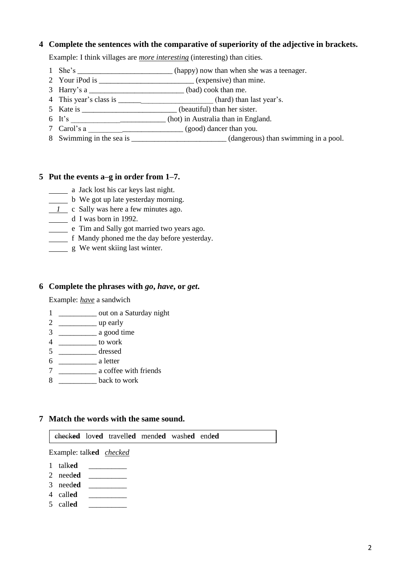### **4 Complete the sentences with the comparative of superiority of the adjective in brackets.**

Example: I think villages are *more interesting* (interesting) than cities.

- 1 She's \_\_\_\_\_\_\_\_\_\_\_\_\_\_\_\_\_\_\_\_\_\_\_\_\_(happy) now than when she was a teenager.
- 2 Your iPod is  $(expensive)$  than mine.
- 3 Harry's a  $(bad) \cosh(\theta)$
- 4 This year's class is \_\_\_\_\_\_\_\_\_\_\_\_\_\_\_\_\_\_\_\_\_\_\_\_\_ (hard) than last year's.
- 5 Kate is \_\_\_\_\_\_\_\_\_\_\_\_\_\_\_\_\_\_\_\_\_\_\_\_\_ (beautiful) than her sister.
- 6 It's (hot) in Australia than in England.
- 7 Carol's a \_\_\_\_\_\_\_\_\_\_\_\_\_\_\_\_\_\_\_\_\_\_\_\_\_ (good) dancer than you.
- 8 Swimming in the sea is \_\_\_\_\_\_\_\_\_\_\_\_\_\_\_\_\_\_\_\_\_\_\_\_\_\_(dangerous) than swimming in a pool.

### **5 Put the events a–g in order from 1–7.**

- a Jack lost his car keys last night.
- b We got up late yesterday morning.
- *1* c Sally was here a few minutes ago.
- d I was born in 1992.
- e Tim and Sally got married two years ago.
- f Mandy phoned me the day before yesterday.
- g We went skiing last winter.

#### **6 Complete the phrases with** *go***,** *have***, or** *get***.**

Example: *have* a sandwich

- 1 \_\_\_\_\_\_\_\_\_\_ out on a Saturday night
- 2 \_\_\_\_\_\_\_\_\_\_ up early
- 3 \_\_\_\_\_\_\_\_\_\_ a good time
- 4 \_\_\_\_\_\_\_\_\_\_ to work
- 5 \_\_\_\_\_\_\_\_\_\_ dressed
- 6 \_\_\_\_\_\_\_\_\_\_ a letter
- 7 \_\_\_\_\_\_\_\_\_\_ a coffee with friends
- 8 \_\_\_\_\_\_\_\_\_\_ back to work

#### **7 Match the words with the same sound.**

check**ed** lov**ed** travell**ed** mend**ed** wash**ed** end**ed**

Example: talk**ed** *checked*

- 1 talk**ed** \_\_\_\_\_\_\_\_\_\_
- 2 need**ed** \_\_\_\_\_\_\_\_\_\_
- 3 need**ed** \_\_\_\_\_\_\_\_\_\_
- 4 call**ed** \_\_\_\_\_\_\_\_\_\_
- 5 call**ed** \_\_\_\_\_\_\_\_\_\_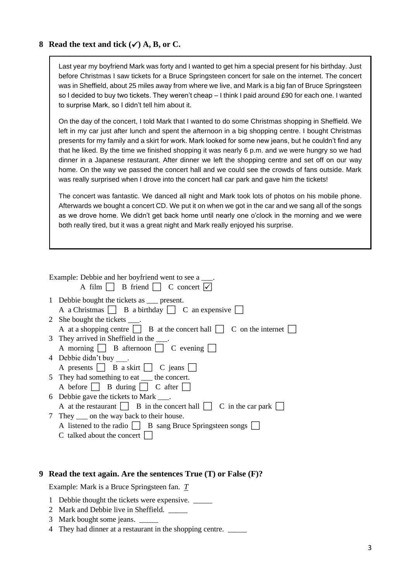### **8 Read the text and tick (**✓**) A, B, or C.**

Last year my boyfriend Mark was forty and I wanted to get him a special present for his birthday. Just before Christmas I saw tickets for a Bruce Springsteen concert for sale on the internet. The concert was in Sheffield, about 25 miles away from where we live, and Mark is a big fan of Bruce Springsteen so I decided to buy two tickets. They weren't cheap – I think I paid around £90 for each one. I wanted to surprise Mark, so I didn't tell him about it.

On the day of the concert, I told Mark that I wanted to do some Christmas shopping in Sheffield. We left in my car just after lunch and spent the afternoon in a big shopping centre. I bought Christmas presents for my family and a skirt for work. Mark looked for some new jeans, but he couldn't find any that he liked. By the time we finished shopping it was nearly 6 p.m. and we were hungry so we had dinner in a Japanese restaurant. After dinner we left the shopping centre and set off on our way home. On the way we passed the concert hall and we could see the crowds of fans outside. Mark was really surprised when I drove into the concert hall car park and gave him the tickets!

The concert was fantastic. We danced all night and Mark took lots of photos on his mobile phone. Afterwards we bought a concert CD. We put it on when we got in the car and we sang all of the songs as we drove home. We didn't get back home until nearly one o'clock in the morning and we were both really tired, but it was a great night and Mark really enjoyed his surprise.

| Example: Debbie and her boyfriend went to see a ____.<br>A film $\Box$ B friend $\Box$ C concert $\overline{\lor}$ |
|--------------------------------------------------------------------------------------------------------------------|
| 1 Debbie bought the tickets as ___ present.                                                                        |
| A a Christmas $\Box$ B a birthday $\Box$ C an expensive $\Box$                                                     |
| 2 She bought the tickets ____.                                                                                     |
| A at a shopping centre $\Box$ B at the concert hall $\Box$ C on the internet $\Box$                                |
| 3 They arrived in Sheffield in the ____.                                                                           |
| A morning $\Box$ B afternoon $\Box$ C evening $\Box$                                                               |
| 4 Debbie didn't buy.                                                                                               |
| A presents $\Box$ B a skirt $\Box$ C jeans $\Box$                                                                  |
| 5 They had something to eat <u>the concert</u> .                                                                   |
| A before $\Box$ B during $\Box$ C after $\Box$                                                                     |
| 6 Debbie gave the tickets to Mark ____.                                                                            |
| A at the restaurant $\Box$ B in the concert hall $\Box$ C in the car park $\Box$                                   |
| 7 They <u>or</u> on the way back to their house.                                                                   |
| A listened to the radio $\Box$ B sang Bruce Springsteen songs $\Box$                                               |
| C talked about the concert                                                                                         |

#### **9 Read the text again. Are the sentences True (T) or False (F)?**

Example: Mark is a Bruce Springsteen fan. *T*

- 1 Debbie thought the tickets were expensive. \_\_\_\_\_
- 2 Mark and Debbie live in Sheffield.
- 3 Mark bought some jeans. \_\_\_\_\_
- 4 They had dinner at a restaurant in the shopping centre. \_\_\_\_\_